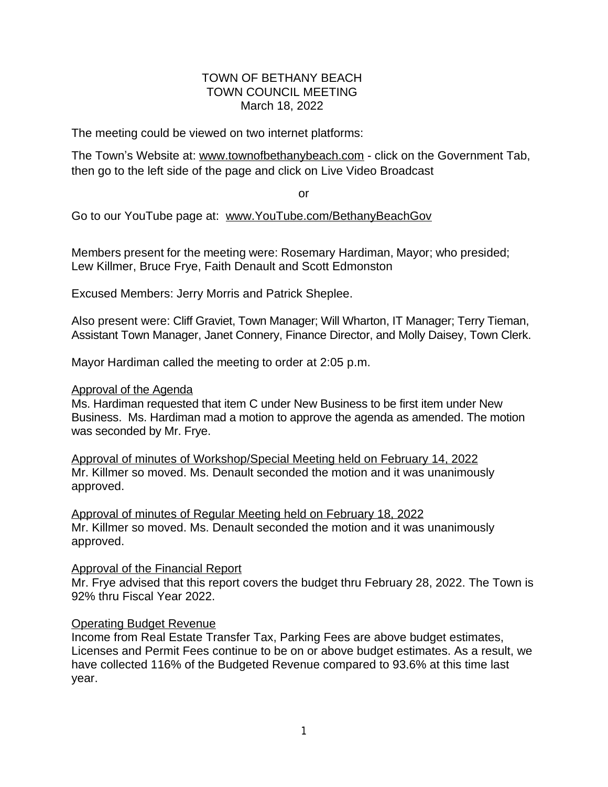### TOWN OF BETHANY BEACH TOWN COUNCIL MEETING March 18, 2022

The meeting could be viewed on two internet platforms:

The Town's Website at: [www.townofbethanybeach.com](http://www.townofbethanybeach.com) - click on the Government Tab, then go to the left side of the page and click on Live Video Broadcast

or

Go to our YouTube page at: [www.YouTube.com/BethanyBeachGov](http://www.YouTube.com/BethanyBeachGov)

Members present for the meeting were: Rosemary Hardiman, Mayor; who presided; Lew Killmer, Bruce Frye, Faith Denault and Scott Edmonston

Excused Members: Jerry Morris and Patrick Sheplee.

Also present were: Cliff Graviet, Town Manager; Will Wharton, IT Manager; Terry Tieman, Assistant Town Manager, Janet Connery, Finance Director, and Molly Daisey, Town Clerk.

Mayor Hardiman called the meeting to order at 2:05 p.m.

#### Approval of the Agenda

Ms. Hardiman requested that item C under New Business to be first item under New Business. Ms. Hardiman mad a motion to approve the agenda as amended. The motion was seconded by Mr. Frye.

Approval of minutes of Workshop/Special Meeting held on February 14, 2022 Mr. Killmer so moved. Ms. Denault seconded the motion and it was unanimously approved.

Approval of minutes of Regular Meeting held on February 18, 2022 Mr. Killmer so moved. Ms. Denault seconded the motion and it was unanimously approved.

### Approval of the Financial Report

Mr. Frye advised that this report covers the budget thru February 28, 2022. The Town is 92% thru Fiscal Year 2022.

### Operating Budget Revenue

Income from Real Estate Transfer Tax, Parking Fees are above budget estimates, Licenses and Permit Fees continue to be on or above budget estimates. As a result, we have collected 116% of the Budgeted Revenue compared to 93.6% at this time last year.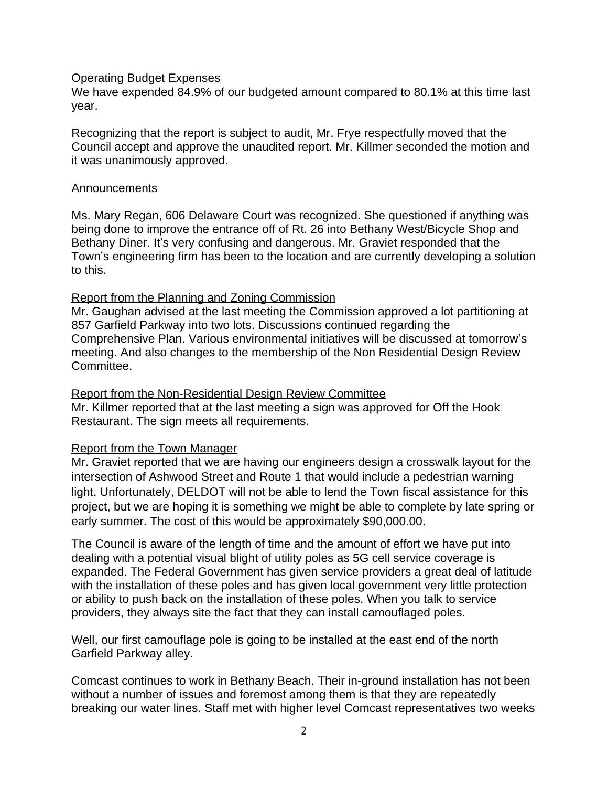### Operating Budget Expenses

We have expended 84.9% of our budgeted amount compared to 80.1% at this time last year.

Recognizing that the report is subject to audit, Mr. Frye respectfully moved that the Council accept and approve the unaudited report. Mr. Killmer seconded the motion and it was unanimously approved.

### Announcements

Ms. Mary Regan, 606 Delaware Court was recognized. She questioned if anything was being done to improve the entrance off of Rt. 26 into Bethany West/Bicycle Shop and Bethany Diner. It's very confusing and dangerous. Mr. Graviet responded that the Town's engineering firm has been to the location and are currently developing a solution to this.

### Report from the Planning and Zoning Commission

Mr. Gaughan advised at the last meeting the Commission approved a lot partitioning at 857 Garfield Parkway into two lots. Discussions continued regarding the Comprehensive Plan. Various environmental initiatives will be discussed at tomorrow's meeting. And also changes to the membership of the Non Residential Design Review Committee.

## Report from the Non-Residential Design Review Committee

Mr. Killmer reported that at the last meeting a sign was approved for Off the Hook Restaurant. The sign meets all requirements.

### Report from the Town Manager

Mr. Graviet reported that we are having our engineers design a crosswalk layout for the intersection of Ashwood Street and Route 1 that would include a pedestrian warning light. Unfortunately, DELDOT will not be able to lend the Town fiscal assistance for this project, but we are hoping it is something we might be able to complete by late spring or early summer. The cost of this would be approximately \$90,000.00.

The Council is aware of the length of time and the amount of effort we have put into dealing with a potential visual blight of utility poles as 5G cell service coverage is expanded. The Federal Government has given service providers a great deal of latitude with the installation of these poles and has given local government very little protection or ability to push back on the installation of these poles. When you talk to service providers, they always site the fact that they can install camouflaged poles.

Well, our first camouflage pole is going to be installed at the east end of the north Garfield Parkway alley.

Comcast continues to work in Bethany Beach. Their in-ground installation has not been without a number of issues and foremost among them is that they are repeatedly breaking our water lines. Staff met with higher level Comcast representatives two weeks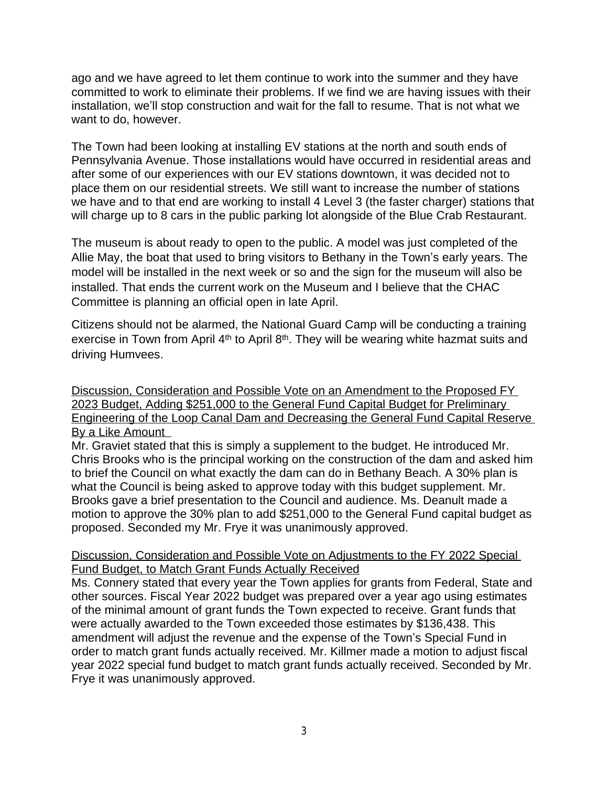ago and we have agreed to let them continue to work into the summer and they have committed to work to eliminate their problems. If we find we are having issues with their installation, we'll stop construction and wait for the fall to resume. That is not what we want to do, however.

The Town had been looking at installing EV stations at the north and south ends of Pennsylvania Avenue. Those installations would have occurred in residential areas and after some of our experiences with our EV stations downtown, it was decided not to place them on our residential streets. We still want to increase the number of stations we have and to that end are working to install 4 Level 3 (the faster charger) stations that will charge up to 8 cars in the public parking lot alongside of the Blue Crab Restaurant.

The museum is about ready to open to the public. A model was just completed of the Allie May, the boat that used to bring visitors to Bethany in the Town's early years. The model will be installed in the next week or so and the sign for the museum will also be installed. That ends the current work on the Museum and I believe that the CHAC Committee is planning an official open in late April.

Citizens should not be alarmed, the National Guard Camp will be conducting a training exercise in Town from April  $4<sup>th</sup>$  to April  $8<sup>th</sup>$ . They will be wearing white hazmat suits and driving Humvees.

Discussion, Consideration and Possible Vote on an Amendment to the Proposed FY 2023 Budget, Adding \$251,000 to the General Fund Capital Budget for Preliminary Engineering of the Loop Canal Dam and Decreasing the General Fund Capital Reserve By a Like Amount

Mr. Graviet stated that this is simply a supplement to the budget. He introduced Mr. Chris Brooks who is the principal working on the construction of the dam and asked him to brief the Council on what exactly the dam can do in Bethany Beach. A 30% plan is what the Council is being asked to approve today with this budget supplement. Mr. Brooks gave a brief presentation to the Council and audience. Ms. Deanult made a motion to approve the 30% plan to add \$251,000 to the General Fund capital budget as proposed. Seconded my Mr. Frye it was unanimously approved.

## Discussion, Consideration and Possible Vote on Adjustments to the FY 2022 Special Fund Budget, to Match Grant Funds Actually Received

Ms. Connery stated that every year the Town applies for grants from Federal, State and other sources. Fiscal Year 2022 budget was prepared over a year ago using estimates of the minimal amount of grant funds the Town expected to receive. Grant funds that were actually awarded to the Town exceeded those estimates by \$136,438. This amendment will adjust the revenue and the expense of the Town's Special Fund in order to match grant funds actually received. Mr. Killmer made a motion to adjust fiscal year 2022 special fund budget to match grant funds actually received. Seconded by Mr. Frye it was unanimously approved.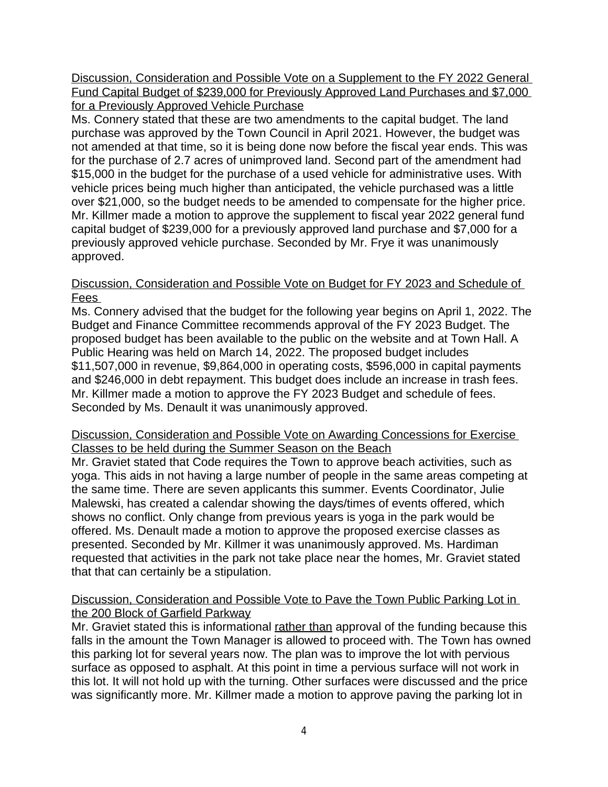Discussion, Consideration and Possible Vote on a Supplement to the FY 2022 General Fund Capital Budget of \$239,000 for Previously Approved Land Purchases and \$7,000 for a Previously Approved Vehicle Purchase

Ms. Connery stated that these are two amendments to the capital budget. The land purchase was approved by the Town Council in April 2021. However, the budget was not amended at that time, so it is being done now before the fiscal year ends. This was for the purchase of 2.7 acres of unimproved land. Second part of the amendment had \$15,000 in the budget for the purchase of a used vehicle for administrative uses. With vehicle prices being much higher than anticipated, the vehicle purchased was a little over \$21,000, so the budget needs to be amended to compensate for the higher price. Mr. Killmer made a motion to approve the supplement to fiscal year 2022 general fund capital budget of \$239,000 for a previously approved land purchase and \$7,000 for a previously approved vehicle purchase. Seconded by Mr. Frye it was unanimously approved.

## Discussion, Consideration and Possible Vote on Budget for FY 2023 and Schedule of Fees

Ms. Connery advised that the budget for the following year begins on April 1, 2022. The Budget and Finance Committee recommends approval of the FY 2023 Budget. The proposed budget has been available to the public on the website and at Town Hall. A Public Hearing was held on March 14, 2022. The proposed budget includes \$11,507,000 in revenue, \$9,864,000 in operating costs, \$596,000 in capital payments and \$246,000 in debt repayment. This budget does include an increase in trash fees. Mr. Killmer made a motion to approve the FY 2023 Budget and schedule of fees. Seconded by Ms. Denault it was unanimously approved.

## Discussion, Consideration and Possible Vote on Awarding Concessions for Exercise Classes to be held during the Summer Season on the Beach

Mr. Graviet stated that Code requires the Town to approve beach activities, such as yoga. This aids in not having a large number of people in the same areas competing at the same time. There are seven applicants this summer. Events Coordinator, Julie Malewski, has created a calendar showing the days/times of events offered, which shows no conflict. Only change from previous years is yoga in the park would be offered. Ms. Denault made a motion to approve the proposed exercise classes as presented. Seconded by Mr. Killmer it was unanimously approved. Ms. Hardiman requested that activities in the park not take place near the homes, Mr. Graviet stated that that can certainly be a stipulation.

# Discussion, Consideration and Possible Vote to Pave the Town Public Parking Lot in the 200 Block of Garfield Parkway

Mr. Graviet stated this is informational rather than approval of the funding because this falls in the amount the Town Manager is allowed to proceed with. The Town has owned this parking lot for several years now. The plan was to improve the lot with pervious surface as opposed to asphalt. At this point in time a pervious surface will not work in this lot. It will not hold up with the turning. Other surfaces were discussed and the price was significantly more. Mr. Killmer made a motion to approve paving the parking lot in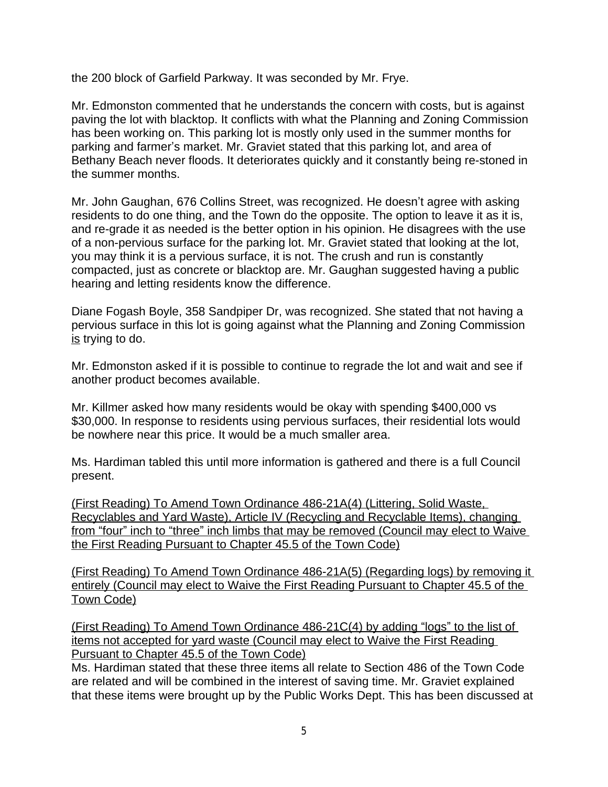the 200 block of Garfield Parkway. It was seconded by Mr. Frye.

Mr. Edmonston commented that he understands the concern with costs, but is against paving the lot with blacktop. It conflicts with what the Planning and Zoning Commission has been working on. This parking lot is mostly only used in the summer months for parking and farmer's market. Mr. Graviet stated that this parking lot, and area of Bethany Beach never floods. It deteriorates quickly and it constantly being re-stoned in the summer months.

Mr. John Gaughan, 676 Collins Street, was recognized. He doesn't agree with asking residents to do one thing, and the Town do the opposite. The option to leave it as it is, and re-grade it as needed is the better option in his opinion. He disagrees with the use of a non-pervious surface for the parking lot. Mr. Graviet stated that looking at the lot, you may think it is a pervious surface, it is not. The crush and run is constantly compacted, just as concrete or blacktop are. Mr. Gaughan suggested having a public hearing and letting residents know the difference.

Diane Fogash Boyle, 358 Sandpiper Dr, was recognized. She stated that not having a pervious surface in this lot is going against what the Planning and Zoning Commission is trying to do.

Mr. Edmonston asked if it is possible to continue to regrade the lot and wait and see if another product becomes available.

Mr. Killmer asked how many residents would be okay with spending \$400,000 vs \$30,000. In response to residents using pervious surfaces, their residential lots would be nowhere near this price. It would be a much smaller area.

Ms. Hardiman tabled this until more information is gathered and there is a full Council present.

(First Reading) To Amend Town Ordinance 486-21A(4) (Littering, Solid Waste, Recyclables and Yard Waste), Article IV (Recycling and Recyclable Items), changing from "four" inch to "three" inch limbs that may be removed (Council may elect to Waive the First Reading Pursuant to Chapter 45.5 of the Town Code)

(First Reading) To Amend Town Ordinance 486-21A(5) (Regarding logs) by removing it entirely (Council may elect to Waive the First Reading Pursuant to Chapter 45.5 of the Town Code)

(First Reading) To Amend Town Ordinance 486-21C(4) by adding "logs" to the list of items not accepted for yard waste (Council may elect to Waive the First Reading Pursuant to Chapter 45.5 of the Town Code)

Ms. Hardiman stated that these three items all relate to Section 486 of the Town Code are related and will be combined in the interest of saving time. Mr. Graviet explained that these items were brought up by the Public Works Dept. This has been discussed at